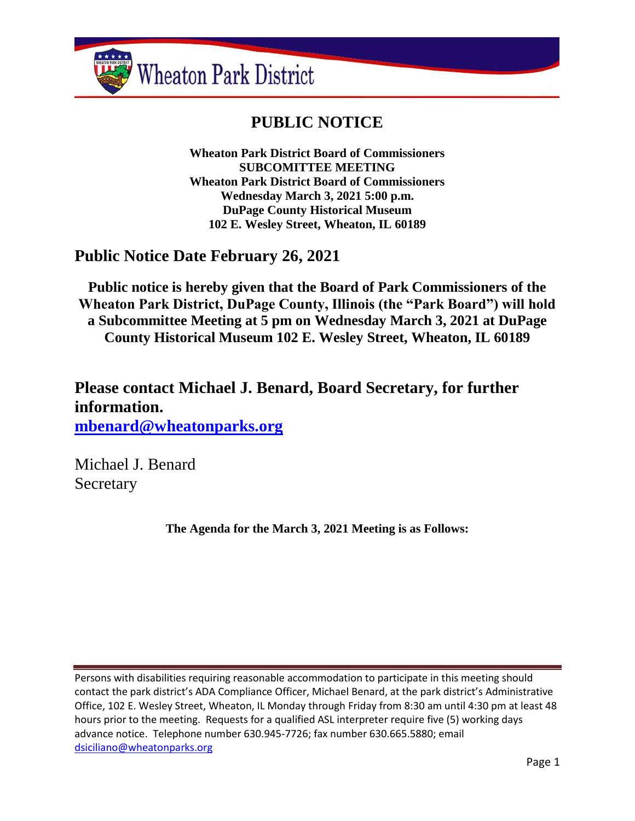

# **PUBLIC NOTICE**

**Wheaton Park District Board of Commissioners SUBCOMITTEE MEETING Wheaton Park District Board of Commissioners Wednesday March 3, 2021 5:00 p.m. DuPage County Historical Museum 102 E. Wesley Street, Wheaton, IL 60189**

# **Public Notice Date February 26, 2021**

**Public notice is hereby given that the Board of Park Commissioners of the Wheaton Park District, DuPage County, Illinois (the "Park Board") will hold a Subcommittee Meeting at 5 pm on Wednesday March 3, 2021 at DuPage County Historical Museum 102 E. Wesley Street, Wheaton, IL 60189**

**Please contact Michael J. Benard, Board Secretary, for further information. [mbenard@wheatonparks.org](mailto:mbenard@wheatonparks.org)**

Michael J. Benard **Secretary** 

**The Agenda for the March 3, 2021 Meeting is as Follows:**

Persons with disabilities requiring reasonable accommodation to participate in this meeting should contact the park district's ADA Compliance Officer, Michael Benard, at the park district's Administrative Office, 102 E. Wesley Street, Wheaton, IL Monday through Friday from 8:30 am until 4:30 pm at least 48 hours prior to the meeting. Requests for a qualified ASL interpreter require five (5) working days advance notice. Telephone number 630.945-7726; fax number 630.665.5880; email [dsiciliano@wheatonparks.org](mailto:dsiciliano@wheatonparks.org)